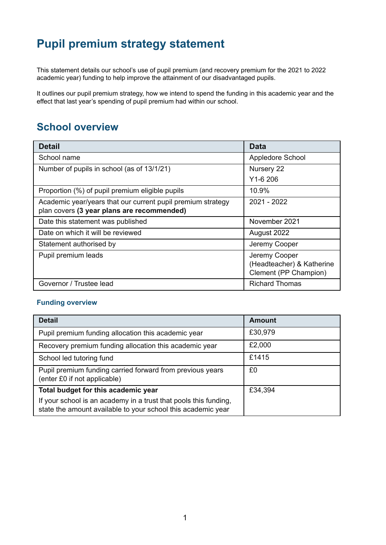# **Pupil premium strategy statement**

This statement details our school's use of pupil premium (and recovery premium for the 2021 to 2022 academic year) funding to help improve the attainment of our disadvantaged pupils.

It outlines our pupil premium strategy, how we intend to spend the funding in this academic year and the effect that last year's spending of pupil premium had within our school.

### **School overview**

| <b>Detail</b>                                               | Data                                                                |
|-------------------------------------------------------------|---------------------------------------------------------------------|
| School name                                                 | Appledore School                                                    |
| Number of pupils in school (as of 13/1/21)                  | Nursery 22                                                          |
|                                                             | $Y1-6206$                                                           |
| Proportion (%) of pupil premium eligible pupils             | 10.9%                                                               |
| Academic year/years that our current pupil premium strategy | $2021 - 2022$                                                       |
| plan covers (3 year plans are recommended)                  |                                                                     |
| Date this statement was published                           | November 2021                                                       |
| Date on which it will be reviewed                           | August 2022                                                         |
| Statement authorised by                                     | Jeremy Cooper                                                       |
| Pupil premium leads                                         | Jeremy Cooper<br>(Headteacher) & Katherine<br>Clement (PP Champion) |
| Governor / Trustee lead                                     | <b>Richard Thomas</b>                                               |

#### **Funding overview**

| <b>Detail</b>                                                                                                                    | Amount  |
|----------------------------------------------------------------------------------------------------------------------------------|---------|
| Pupil premium funding allocation this academic year                                                                              | £30,979 |
| Recovery premium funding allocation this academic year                                                                           | £2,000  |
| School led tutoring fund                                                                                                         | £1415   |
| Pupil premium funding carried forward from previous years<br>(enter £0 if not applicable)                                        | £0      |
| Total budget for this academic year                                                                                              | £34,394 |
| If your school is an academy in a trust that pools this funding,<br>state the amount available to your school this academic year |         |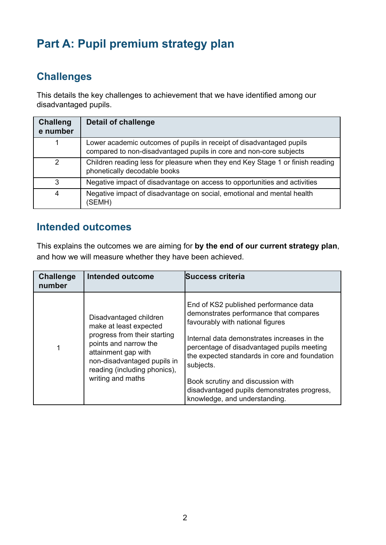# **Part A: Pupil premium strategy plan**

# **Challenges**

This details the key challenges to achievement that we have identified among our disadvantaged pupils.

| <b>Challeng</b><br>e number | Detail of challenge                                                                                                                        |
|-----------------------------|--------------------------------------------------------------------------------------------------------------------------------------------|
|                             | Lower academic outcomes of pupils in receipt of disadvantaged pupils<br>compared to non-disadvantaged pupils in core and non-core subjects |
| 2                           | Children reading less for pleasure when they end Key Stage 1 or finish reading<br>phonetically decodable books                             |
| 3                           | Negative impact of disadvantage on access to opportunities and activities                                                                  |
| 4                           | Negative impact of disadvantage on social, emotional and mental health<br>(SEMH)                                                           |

### **Intended outcomes**

This explains the outcomes we are aiming for **by the end of our current strategy plan**, and how we will measure whether they have been achieved.

| <b>Challenge</b><br>number | Intended outcome                                                                                                                                                                                                     | <b>Success criteria</b>                                                                                                                                                                                                                                                                                                                                                                             |
|----------------------------|----------------------------------------------------------------------------------------------------------------------------------------------------------------------------------------------------------------------|-----------------------------------------------------------------------------------------------------------------------------------------------------------------------------------------------------------------------------------------------------------------------------------------------------------------------------------------------------------------------------------------------------|
|                            | Disadvantaged children<br>make at least expected<br>progress from their starting<br>points and narrow the<br>attainment gap with<br>non-disadvantaged pupils in<br>reading (including phonics),<br>writing and maths | End of KS2 published performance data<br>demonstrates performance that compares<br>favourably with national figures<br>Internal data demonstrates increases in the<br>percentage of disadvantaged pupils meeting<br>the expected standards in core and foundation<br>subjects.<br>Book scrutiny and discussion with<br>disadvantaged pupils demonstrates progress,<br>knowledge, and understanding. |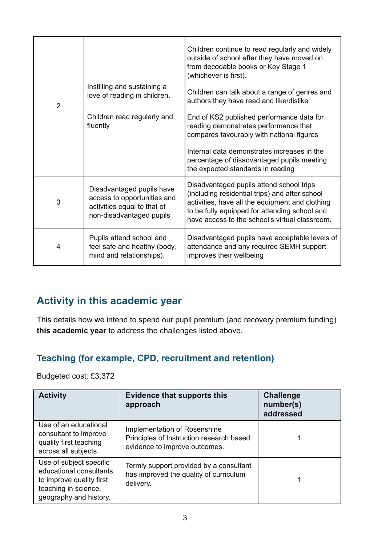| $\overline{2}$ | Instilling and sustaining a<br>love of reading in children.<br>Children read regularly and<br>fluently              | Children continue to read regularly and widely<br>outside of school after they have moved on<br>from decodable books or Key Stage 1<br>(whichever is first).<br>Children can talk about a range of genres and<br>authors they have read and like/dislike<br>End of KS2 published performance data for<br>reading demonstrates performance that<br>compares favourably with national figures<br>Internal data demonstrates increases in the<br>percentage of disadvantaged pupils meeting<br>the expected standards in reading |
|----------------|---------------------------------------------------------------------------------------------------------------------|-------------------------------------------------------------------------------------------------------------------------------------------------------------------------------------------------------------------------------------------------------------------------------------------------------------------------------------------------------------------------------------------------------------------------------------------------------------------------------------------------------------------------------|
| 3              | Disadvantaged pupils have<br>access to opportunities and<br>activities equal to that of<br>non-disadvantaged pupils | Disadvantaged pupils attend school trips<br>(including residential trips) and after school<br>activities, have all the equipment and clothing<br>to be fully equipped for attending school and<br>have access to the school's virtual classroom.                                                                                                                                                                                                                                                                              |
| 4              | Pupils attend school and<br>feel safe and healthy (body,<br>mind and relationships).                                | Disadvantaged pupils have acceptable levels of<br>attendance and any required SEMH support<br>improves their wellbeing                                                                                                                                                                                                                                                                                                                                                                                                        |

# **Activity in this academic year**

This details how we intend to spend our pupil premium (and recovery premium funding) **this academic year** to address the challenges listed above.

#### **Teaching (for example, CPD, recruitment and retention)**

Budgeted cost: £3,372

| <b>Activity</b>                                                                                                                  | <b>Evidence that supports this</b><br>approach                                                            | <b>Challenge</b><br>number(s)<br>addressed |
|----------------------------------------------------------------------------------------------------------------------------------|-----------------------------------------------------------------------------------------------------------|--------------------------------------------|
| Use of an educational<br>consultant to improve<br>quality first teaching<br>across all subjects                                  | Implementation of Rosenshine<br>Principles of Instruction research based<br>evidence to improve outcomes. |                                            |
| Use of subject specific<br>educational consultants<br>to improve quality first<br>teaching in science,<br>geography and history. | Termly support provided by a consultant<br>has improved the quality of curriculum<br>delivery.            |                                            |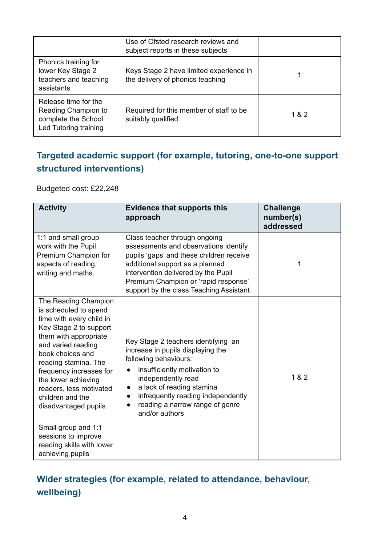|                                                                                             | Use of Ofsted research reviews and<br>subject reports in these subjects     |       |
|---------------------------------------------------------------------------------------------|-----------------------------------------------------------------------------|-------|
| Phonics training for<br>lower Key Stage 2<br>teachers and teaching<br>assistants            | Keys Stage 2 have limited experience in<br>the delivery of phonics teaching |       |
| Release time for the<br>Reading Champion to<br>complete the School<br>Led Tutoring training | Required for this member of staff to be<br>suitably qualified.              | 1 & 2 |

## **Targeted academic support (for example, tutoring, one-to-one support structured interventions)**

Budgeted cost: £22,248

| <b>Activity</b>                                                                                                                                                                                                                                                                                                                                                                                                         | <b>Evidence that supports this</b><br>approach                                                                                                                                                                                                                                               | <b>Challenge</b><br>number(s)<br>addressed |
|-------------------------------------------------------------------------------------------------------------------------------------------------------------------------------------------------------------------------------------------------------------------------------------------------------------------------------------------------------------------------------------------------------------------------|----------------------------------------------------------------------------------------------------------------------------------------------------------------------------------------------------------------------------------------------------------------------------------------------|--------------------------------------------|
| 1:1 and small group<br>work with the Pupil<br>Premium Champion for<br>aspects of reading,<br>writing and maths.                                                                                                                                                                                                                                                                                                         | Class teacher through ongoing<br>assessments and observations identify<br>pupils 'gaps' and these children receive<br>additional support as a planned<br>intervention delivered by the Pupil<br>Premium Champion or 'rapid response'<br>support by the class Teaching Assistant              | 1                                          |
| The Reading Champion<br>is scheduled to spend<br>time with every child in<br>Key Stage 2 to support<br>them with appropriate<br>and varied reading<br>book choices and<br>reading stamina. The<br>frequency increases for<br>the lower achieving<br>readers, less motivated<br>children and the<br>disadvantaged pupils.<br>Small group and 1:1<br>sessions to improve<br>reading skills with lower<br>achieving pupils | Key Stage 2 teachers identifying an<br>increase in pupils displaying the<br>following behaviours:<br>insufficiently motivation to<br>independently read<br>a lack of reading stamina<br>infrequently reading independently<br>$\bullet$<br>reading a narrow range of genre<br>and/or authors | 1 & 82                                     |

# **Wider strategies (for example, related to attendance, behaviour, wellbeing)**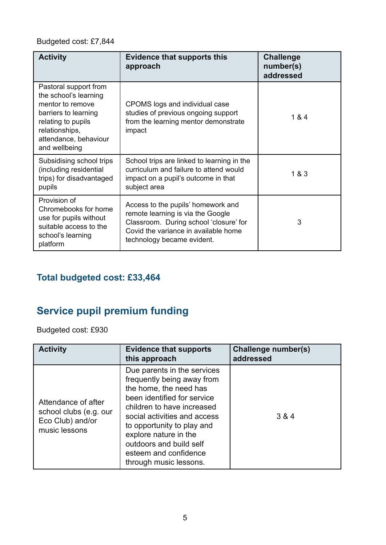#### Budgeted cost: £7,844

| <b>Activity</b>                                                                                                                                                              | <b>Evidence that supports this</b><br>approach                                                                                                                                          | <b>Challenge</b><br>number(s)<br>addressed |
|------------------------------------------------------------------------------------------------------------------------------------------------------------------------------|-----------------------------------------------------------------------------------------------------------------------------------------------------------------------------------------|--------------------------------------------|
| Pastoral support from<br>the school's learning<br>mentor to remove<br>barriers to learning<br>relating to pupils<br>relationships,<br>attendance, behaviour<br>and wellbeing | CPOMS logs and individual case<br>studies of previous ongoing support<br>from the learning mentor demonstrate<br>impact                                                                 | 1 & 4                                      |
| Subsidising school trips<br>(including residential<br>trips) for disadvantaged<br>pupils                                                                                     | School trips are linked to learning in the<br>curriculum and failure to attend would<br>impact on a pupil's outcome in that<br>subject area                                             | 1 & 3                                      |
| Provision of<br>Chromebooks for home<br>use for pupils without<br>suitable access to the<br>school's learning<br>platform                                                    | Access to the pupils' homework and<br>remote learning is via the Google<br>Classroom. During school 'closure' for<br>Covid the variance in available home<br>technology became evident. | 3                                          |

### **Total budgeted cost: £33,464**

# **Service pupil premium funding**

Budgeted cost: £930

| <b>Activity</b>                                                                    | <b>Evidence that supports</b><br>this approach                                                                                                                                                                                                                                                                        | <b>Challenge number(s)</b><br>addressed |
|------------------------------------------------------------------------------------|-----------------------------------------------------------------------------------------------------------------------------------------------------------------------------------------------------------------------------------------------------------------------------------------------------------------------|-----------------------------------------|
| Attendance of after<br>school clubs (e.g. our<br>Eco Club) and/or<br>music lessons | Due parents in the services<br>frequently being away from<br>the home, the need has<br>been identified for service<br>children to have increased<br>social activities and access<br>to opportunity to play and<br>explore nature in the<br>outdoors and build self<br>esteem and confidence<br>through music lessons. | 3 & 4                                   |